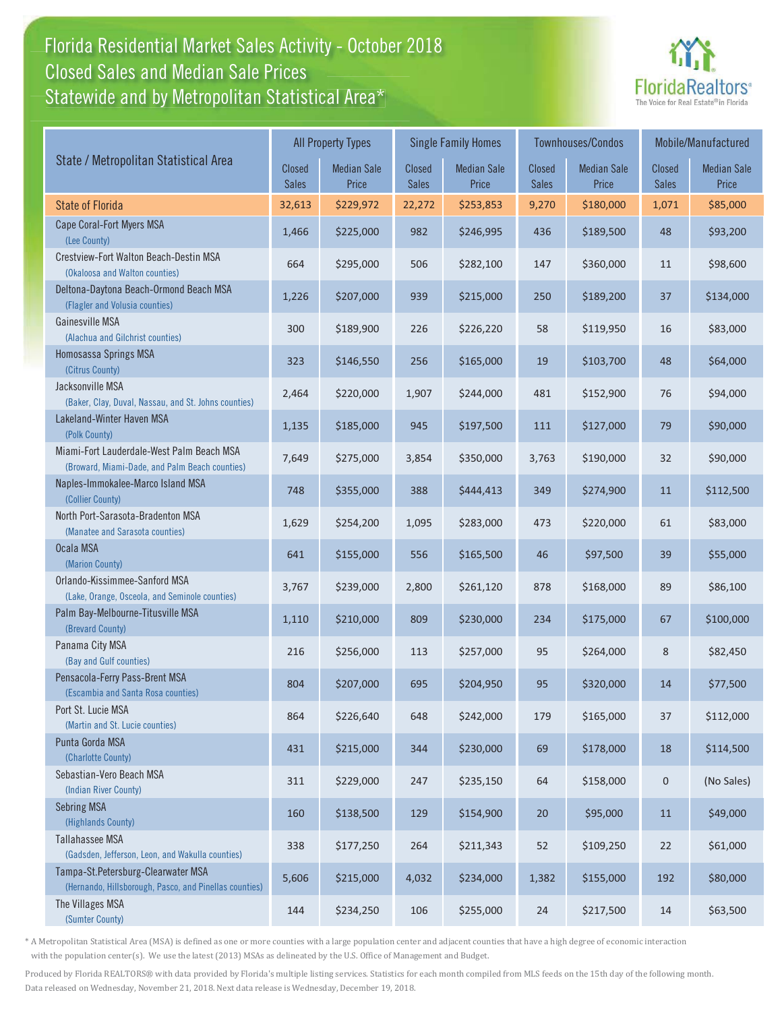### Florida Residential Market Sales Activity - October 2018 Florida Residential Market Sales Activity Statewide and by Metropolitan Statistical Area $^{\star}$ Closed Sales and Median Sale Prices



|                                                                                              |                        | <b>All Property Types</b>   |                               | <b>Single Family Homes</b>  |                        | <b>Townhouses/Condos</b>    | Mobile/Manufactured    |                             |
|----------------------------------------------------------------------------------------------|------------------------|-----------------------------|-------------------------------|-----------------------------|------------------------|-----------------------------|------------------------|-----------------------------|
| State / Metropolitan Statistical Area                                                        | Closed<br><b>Sales</b> | <b>Median Sale</b><br>Price | <b>Closed</b><br><b>Sales</b> | <b>Median Sale</b><br>Price | Closed<br><b>Sales</b> | <b>Median Sale</b><br>Price | Closed<br><b>Sales</b> | <b>Median Sale</b><br>Price |
| <b>State of Florida</b>                                                                      | 32,613                 | \$229,972                   | 22,272                        | \$253,853                   | 9,270                  | \$180,000                   | 1,071                  | \$85,000                    |
| Cape Coral-Fort Myers MSA<br>(Lee County)                                                    | 1,466                  | \$225,000                   | 982                           | \$246,995                   | 436                    | \$189,500                   | 48                     | \$93,200                    |
| Crestview-Fort Walton Beach-Destin MSA<br>(Okaloosa and Walton counties)                     | 664                    | \$295,000                   | 506                           | \$282,100                   | 147                    | \$360,000                   | 11                     | \$98,600                    |
| Deltona-Daytona Beach-Ormond Beach MSA<br>(Flagler and Volusia counties)                     | 1,226                  | \$207,000                   | 939                           | \$215,000                   | 250                    | \$189,200                   | 37                     | \$134,000                   |
| Gainesville MSA<br>(Alachua and Gilchrist counties)                                          | 300                    | \$189,900                   | 226                           | \$226,220                   | 58                     | \$119,950                   | 16                     | \$83,000                    |
| Homosassa Springs MSA<br>(Citrus County)                                                     | 323                    | \$146,550                   | 256                           | \$165,000                   | 19                     | \$103,700                   | 48                     | \$64,000                    |
| Jacksonville MSA<br>(Baker, Clay, Duval, Nassau, and St. Johns counties)                     | 2,464                  | \$220,000                   | 1,907                         | \$244,000                   | 481                    | \$152,900                   | 76                     | \$94,000                    |
| Lakeland-Winter Haven MSA<br>(Polk County)                                                   | 1,135                  | \$185,000                   | 945                           | \$197,500                   | 111                    | \$127,000                   | 79                     | \$90,000                    |
| Miami-Fort Lauderdale-West Palm Beach MSA<br>(Broward, Miami-Dade, and Palm Beach counties)  | 7,649                  | \$275,000                   | 3,854                         | \$350,000                   | 3,763                  | \$190,000                   | 32                     | \$90,000                    |
| Naples-Immokalee-Marco Island MSA<br>(Collier County)                                        | 748                    | \$355,000                   | 388                           | \$444,413                   | 349                    | \$274,900                   | 11                     | \$112,500                   |
| North Port-Sarasota-Bradenton MSA<br>(Manatee and Sarasota counties)                         | 1,629                  | \$254,200                   | 1,095                         | \$283,000                   | 473                    | \$220,000                   | 61                     | \$83,000                    |
| Ocala MSA<br>(Marion County)                                                                 | 641                    | \$155,000                   | 556                           | \$165,500                   | 46                     | \$97,500                    | 39                     | \$55,000                    |
| Orlando-Kissimmee-Sanford MSA<br>(Lake, Orange, Osceola, and Seminole counties)              | 3,767                  | \$239,000                   | 2,800                         | \$261,120                   | 878                    | \$168,000                   | 89                     | \$86,100                    |
| Palm Bay-Melbourne-Titusville MSA<br>(Brevard County)                                        | 1,110                  | \$210,000                   | 809                           | \$230,000                   | 234                    | \$175,000                   | 67                     | \$100,000                   |
| Panama City MSA<br>(Bay and Gulf counties)                                                   | 216                    | \$256,000                   | 113                           | \$257,000                   | 95                     | \$264,000                   | 8                      | \$82,450                    |
| Pensacola-Ferry Pass-Brent MSA<br>(Escambia and Santa Rosa counties)                         | 804                    | \$207,000                   | 695                           | \$204,950                   | 95                     | \$320,000                   | 14                     | \$77,500                    |
| Port St. Lucie MSA<br>(Martin and St. Lucie counties)                                        | 864                    | \$226,640                   | 648                           | \$242,000                   | 179                    | \$165,000                   | 37                     | \$112,000                   |
| Punta Gorda MSA<br>(Charlotte County)                                                        | 431                    | \$215,000                   | 344                           | \$230,000                   | 69                     | \$178,000                   | 18                     | \$114,500                   |
| Sebastian-Vero Beach MSA<br>(Indian River County)                                            | 311                    | \$229,000                   | 247                           | \$235,150                   | 64                     | \$158,000                   | $\pmb{0}$              | (No Sales)                  |
| <b>Sebring MSA</b><br>(Highlands County)                                                     | 160                    | \$138,500                   | 129                           | \$154,900                   | 20                     | \$95,000                    | 11                     | \$49,000                    |
| Tallahassee MSA<br>(Gadsden, Jefferson, Leon, and Wakulla counties)                          | 338                    | \$177,250                   | 264                           | \$211,343                   | 52                     | \$109,250                   | 22                     | \$61,000                    |
| Tampa-St.Petersburg-Clearwater MSA<br>(Hernando, Hillsborough, Pasco, and Pinellas counties) | 5,606                  | \$215,000                   | 4,032                         | \$234,000                   | 1,382                  | \$155,000                   | 192                    | \$80,000                    |
| The Villages MSA<br>(Sumter County)                                                          | 144                    | \$234,250                   | 106                           | \$255,000                   | 24                     | \$217,500                   | 14                     | \$63,500                    |

\* A Metropolitan Statistical Area (MSA) is defined as one or more counties with a large population center and adjacent counties that have a high degree of economic interaction with the population center(s). We use the latest (2013) MSAs as delineated by the U.S. Office of Management and Budget.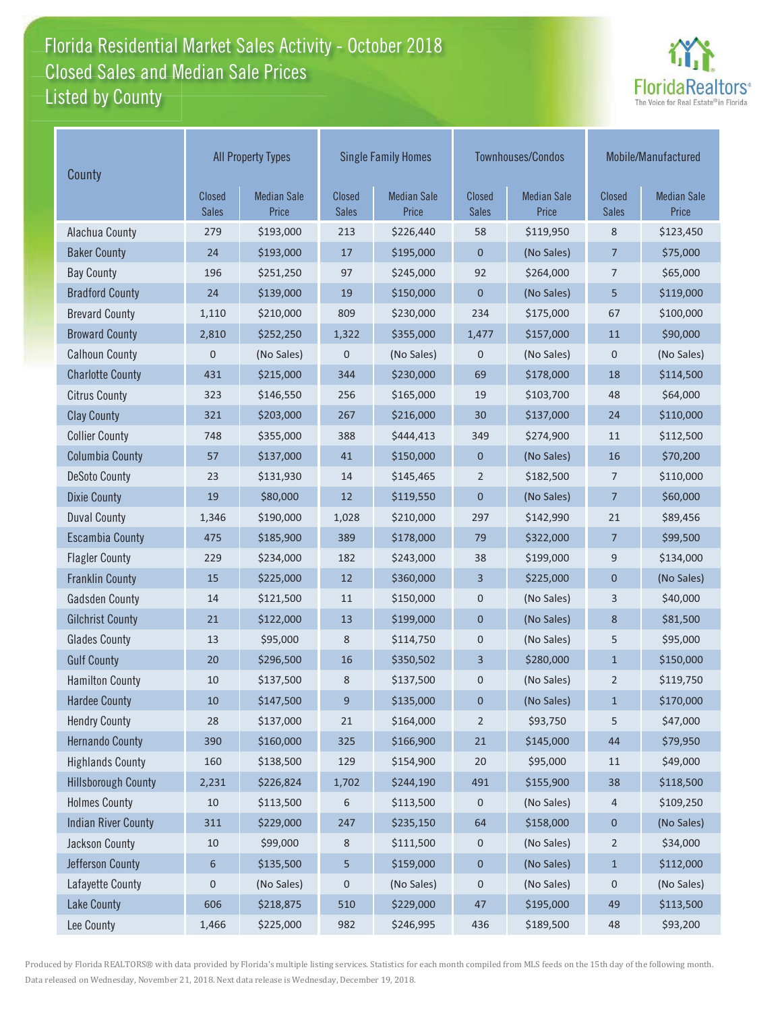### Florida Residential Market Sales Activity - October 2018 Florida Residential Market Sales Activity Listed by County Closed Sales and Median Sale Prices



| County                     | <b>All Property Types</b>     |                             |                        | <b>Single Family Homes</b>  |                        | Townhouses/Condos           | Mobile/Manufactured    |                             |
|----------------------------|-------------------------------|-----------------------------|------------------------|-----------------------------|------------------------|-----------------------------|------------------------|-----------------------------|
|                            | <b>Closed</b><br><b>Sales</b> | <b>Median Sale</b><br>Price | Closed<br><b>Sales</b> | <b>Median Sale</b><br>Price | Closed<br><b>Sales</b> | <b>Median Sale</b><br>Price | Closed<br><b>Sales</b> | <b>Median Sale</b><br>Price |
| Alachua County             | 279                           | \$193,000                   | 213                    | \$226,440                   | 58                     | \$119,950                   | 8                      | \$123,450                   |
| <b>Baker County</b>        | 24                            | \$193,000                   | 17                     | \$195,000                   | 0                      | (No Sales)                  | 7                      | \$75,000                    |
| <b>Bay County</b>          | 196                           | \$251,250                   | 97                     | \$245,000                   | 92                     | \$264,000                   | 7                      | \$65,000                    |
| <b>Bradford County</b>     | 24                            | \$139,000                   | 19                     | \$150,000                   | $\mathbf 0$            | (No Sales)                  | 5                      | \$119,000                   |
| <b>Brevard County</b>      | 1,110                         | \$210,000                   | 809                    | \$230,000                   | 234                    | \$175,000                   | 67                     | \$100,000                   |
| <b>Broward County</b>      | 2,810                         | \$252,250                   | 1,322                  | \$355,000                   | 1,477                  | \$157,000                   | 11                     | \$90,000                    |
| <b>Calhoun County</b>      | $\mathbf 0$                   | (No Sales)                  | 0                      | (No Sales)                  | 0                      | (No Sales)                  | $\pmb{0}$              | (No Sales)                  |
| <b>Charlotte County</b>    | 431                           | \$215,000                   | 344                    | \$230,000                   | 69                     | \$178,000                   | 18                     | \$114,500                   |
| <b>Citrus County</b>       | 323                           | \$146,550                   | 256                    | \$165,000                   | 19                     | \$103,700                   | 48                     | \$64,000                    |
| <b>Clay County</b>         | 321                           | \$203,000                   | 267                    | \$216,000                   | 30                     | \$137,000                   | 24                     | \$110,000                   |
| <b>Collier County</b>      | 748                           | \$355,000                   | 388                    | \$444,413                   | 349                    | \$274,900                   | 11                     | \$112,500                   |
| <b>Columbia County</b>     | 57                            | \$137,000                   | 41                     | \$150,000                   | 0                      | (No Sales)                  | 16                     | \$70,200                    |
| <b>DeSoto County</b>       | 23                            | \$131,930                   | 14                     | \$145,465                   | $\overline{2}$         | \$182,500                   | 7                      | \$110,000                   |
| <b>Dixie County</b>        | 19                            | \$80,000                    | 12                     | \$119,550                   | 0                      | (No Sales)                  | $\overline{7}$         | \$60,000                    |
| <b>Duval County</b>        | 1,346                         | \$190,000                   | 1,028                  | \$210,000                   | 297                    | \$142,990                   | 21                     | \$89,456                    |
| <b>Escambia County</b>     | 475                           | \$185,900                   | 389                    | \$178,000                   | 79                     | \$322,000                   | $\overline{7}$         | \$99,500                    |
| <b>Flagler County</b>      | 229                           | \$234,000                   | 182                    | \$243,000                   | 38                     | \$199,000                   | 9                      | \$134,000                   |
| <b>Franklin County</b>     | 15                            | \$225,000                   | 12                     | \$360,000                   | 3                      | \$225,000                   | $\pmb{0}$              | (No Sales)                  |
| <b>Gadsden County</b>      | 14                            | \$121,500                   | 11                     | \$150,000                   | 0                      | (No Sales)                  | 3                      | \$40,000                    |
| <b>Gilchrist County</b>    | 21                            | \$122,000                   | 13                     | \$199,000                   | 0                      | (No Sales)                  | 8                      | \$81,500                    |
| <b>Glades County</b>       | 13                            | \$95,000                    | 8                      | \$114,750                   | 0                      | (No Sales)                  | 5                      | \$95,000                    |
| <b>Gulf County</b>         | 20                            | \$296,500                   | 16                     | \$350,502                   | 3                      | \$280,000                   | $\mathbf{1}$           | \$150,000                   |
| <b>Hamilton County</b>     | 10                            | \$137,500                   | 8                      | \$137,500                   | 0                      | (No Sales)                  | $\overline{2}$         | \$119,750                   |
| <b>Hardee County</b>       | 10                            | \$147,500                   | 9                      | \$135,000                   | 0                      | (No Sales)                  | $\mathbf{1}$           | \$170,000                   |
| <b>Hendry County</b>       | 28                            | \$137,000                   | 21                     | \$164,000                   | $\overline{2}$         | \$93,750                    | 5                      | \$47,000                    |
| <b>Hernando County</b>     | 390                           | \$160,000                   | 325                    | \$166,900                   | 21                     | \$145,000                   | 44                     | \$79,950                    |
| <b>Highlands County</b>    | 160                           | \$138,500                   | 129                    | \$154,900                   | 20                     | \$95,000                    | 11                     | \$49,000                    |
| <b>Hillsborough County</b> | 2,231                         | \$226,824                   | 1,702                  | \$244,190                   | 491                    | \$155,900                   | 38                     | \$118,500                   |
| <b>Holmes County</b>       | 10                            | \$113,500                   | 6                      | \$113,500                   | 0                      | (No Sales)                  | 4                      | \$109,250                   |
| <b>Indian River County</b> | 311                           | \$229,000                   | 247                    | \$235,150                   | 64                     | \$158,000                   | $\mathbf 0$            | (No Sales)                  |
| Jackson County             | $10\,$                        | \$99,000                    | 8                      | \$111,500                   | 0                      | (No Sales)                  | $\overline{2}$         | \$34,000                    |
| Jefferson County           | 6                             | \$135,500                   | 5                      | \$159,000                   | 0                      | (No Sales)                  | $\mathbf 1$            | \$112,000                   |
| Lafayette County           | $\pmb{0}$                     | (No Sales)                  | $\mathsf{O}\xspace$    | (No Sales)                  | 0                      | (No Sales)                  | 0                      | (No Sales)                  |
| <b>Lake County</b>         | 606                           | \$218,875                   | 510                    | \$229,000                   | 47                     | \$195,000                   | 49                     | \$113,500                   |
| Lee County                 | 1,466                         | \$225,000                   | 982                    | \$246,995                   | 436                    | \$189,500                   | 48                     | \$93,200                    |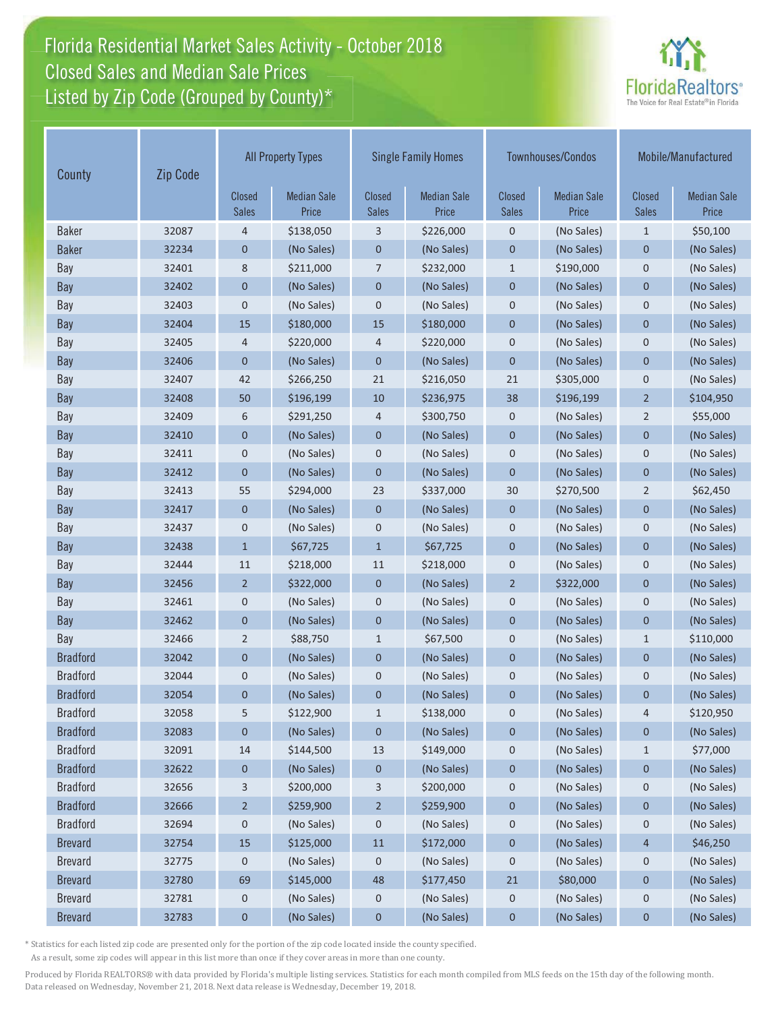# Florida Residential Market Sales Activity - October 2018 Florida Residential Market Sales Activity Closed Sales and Median Sale Prices<br>Listed by Zip Code (Grouped by County)\*



| County          | Zip Code |                               | <b>All Property Types</b>   |                               | <b>Single Family Homes</b>  |                               | <b>Townhouses/Condos</b>    | Mobile/Manufactured    |                             |
|-----------------|----------|-------------------------------|-----------------------------|-------------------------------|-----------------------------|-------------------------------|-----------------------------|------------------------|-----------------------------|
|                 |          | <b>Closed</b><br><b>Sales</b> | <b>Median Sale</b><br>Price | <b>Closed</b><br><b>Sales</b> | <b>Median Sale</b><br>Price | <b>Closed</b><br><b>Sales</b> | <b>Median Sale</b><br>Price | Closed<br><b>Sales</b> | <b>Median Sale</b><br>Price |
| <b>Baker</b>    | 32087    | 4                             | \$138,050                   | 3                             | \$226,000                   | 0                             | (No Sales)                  | $\mathbf{1}$           | \$50,100                    |
| <b>Baker</b>    | 32234    | $\mathbf 0$                   | (No Sales)                  | $\mathbf 0$                   | (No Sales)                  | $\mathbf 0$                   | (No Sales)                  | $\mathbf 0$            | (No Sales)                  |
| Bay             | 32401    | 8                             | \$211,000                   | 7                             | \$232,000                   | $\mathbf{1}$                  | \$190,000                   | $\boldsymbol{0}$       | (No Sales)                  |
| Bay             | 32402    | $\mathbf 0$                   | (No Sales)                  | $\pmb{0}$                     | (No Sales)                  | $\mathbf 0$                   | (No Sales)                  | $\mathbf{0}$           | (No Sales)                  |
| Bay             | 32403    | $\mathbf 0$                   | (No Sales)                  | $\mathbf 0$                   | (No Sales)                  | $\mathbf 0$                   | (No Sales)                  | $\mathbf 0$            | (No Sales)                  |
| Bay             | 32404    | 15                            | \$180,000                   | 15                            | \$180,000                   | $\mathbf 0$                   | (No Sales)                  | $\mathbf 0$            | (No Sales)                  |
| Bay             | 32405    | 4                             | \$220,000                   | $\overline{4}$                | \$220,000                   | 0                             | (No Sales)                  | $\boldsymbol{0}$       | (No Sales)                  |
| <b>Bay</b>      | 32406    | $\mathbf 0$                   | (No Sales)                  | $\mathbf{0}$                  | (No Sales)                  | $\overline{0}$                | (No Sales)                  | $\mathbf{0}$           | (No Sales)                  |
| Bay             | 32407    | 42                            | \$266,250                   | 21                            | \$216,050                   | 21                            | \$305,000                   | $\mathbf 0$            | (No Sales)                  |
| Bay             | 32408    | 50                            | \$196,199                   | 10                            | \$236,975                   | 38                            | \$196,199                   | $\overline{2}$         | \$104,950                   |
| Bay             | 32409    | 6                             | \$291,250                   | 4                             | \$300,750                   | $\mathbf 0$                   | (No Sales)                  | $\overline{2}$         | \$55,000                    |
| Bay             | 32410    | 0                             | (No Sales)                  | $\mathbf 0$                   | (No Sales)                  | $\mathbf 0$                   | (No Sales)                  | $\mathbf{0}$           | (No Sales)                  |
| Bay             | 32411    | $\mathbf 0$                   | (No Sales)                  | $\mathbf 0$                   | (No Sales)                  | $\pmb{0}$                     | (No Sales)                  | $\mathbf 0$            | (No Sales)                  |
| Bay             | 32412    | $\mathbf 0$                   | (No Sales)                  | $\mathbf{0}$                  | (No Sales)                  | $\mathbf 0$                   | (No Sales)                  | $\mathbf 0$            | (No Sales)                  |
| Bay             | 32413    | 55                            | \$294,000                   | 23                            | \$337,000                   | 30                            | \$270,500                   | $\overline{2}$         | \$62,450                    |
| Bay             | 32417    | $\mathbf 0$                   | (No Sales)                  | $\mathbf 0$                   | (No Sales)                  | $\mathbf 0$                   | (No Sales)                  | $\mathbf 0$            | (No Sales)                  |
| Bay             | 32437    | 0                             | (No Sales)                  | $\pmb{0}$                     | (No Sales)                  | $\pmb{0}$                     | (No Sales)                  | $\pmb{0}$              | (No Sales)                  |
| Bay             | 32438    | $\mathbf{1}$                  | \$67,725                    | $\mathbf{1}$                  | \$67,725                    | $\mathbf 0$                   | (No Sales)                  | $\mathbf 0$            | (No Sales)                  |
| Bay             | 32444    | 11                            | \$218,000                   | 11                            | \$218,000                   | 0                             | (No Sales)                  | $\boldsymbol{0}$       | (No Sales)                  |
| Bay             | 32456    | $\overline{2}$                | \$322,000                   | $\mathbf 0$                   | (No Sales)                  | $\overline{2}$                | \$322,000                   | $\mathbf{0}$           | (No Sales)                  |
| Bay             | 32461    | $\mathbf 0$                   | (No Sales)                  | $\mathbf 0$                   | (No Sales)                  | 0                             | (No Sales)                  | $\mathbf 0$            | (No Sales)                  |
| Bay             | 32462    | $\mathbf 0$                   | (No Sales)                  | $\mathbf{0}$                  | (No Sales)                  | $\mathbf 0$                   | (No Sales)                  | $\overline{0}$         | (No Sales)                  |
| Bay             | 32466    | 2                             | \$88,750                    | $\mathbf{1}$                  | \$67,500                    | $\mathbf 0$                   | (No Sales)                  | $\mathbf{1}$           | \$110,000                   |
| <b>Bradford</b> | 32042    | 0                             | (No Sales)                  | $\mathbf 0$                   | (No Sales)                  | $\mathbf 0$                   | (No Sales)                  | $\mathbf 0$            | (No Sales)                  |
| <b>Bradford</b> | 32044    | $\mathbf 0$                   | (No Sales)                  | 0                             | (No Sales)                  | $\pmb{0}$                     | (No Sales)                  | $\mathbf 0$            | (No Sales)                  |
| <b>Bradford</b> | 32054    | $\mathbf 0$                   | (No Sales)                  | 0                             | (No Sales)                  | $\mathbf 0$                   | (No Sales)                  | $\mathbf 0$            | (No Sales)                  |
| <b>Bradford</b> | 32058    | 5                             | \$122,900                   | $\mathbf{1}$                  | \$138,000                   | 0                             | (No Sales)                  | 4                      | \$120,950                   |
| <b>Bradford</b> | 32083    | $\mathbf 0$                   | (No Sales)                  | $\mathbf 0$                   | (No Sales)                  | $\mathbf 0$                   | (No Sales)                  | $\mathbf 0$            | (No Sales)                  |
| <b>Bradford</b> | 32091    | 14                            | \$144,500                   | 13                            | \$149,000                   | $\mathbf 0$                   | (No Sales)                  | $\mathbf{1}$           | \$77,000                    |
| <b>Bradford</b> | 32622    | $\mathbf 0$                   | (No Sales)                  | $\boldsymbol{0}$              | (No Sales)                  | $\mathbf 0$                   | (No Sales)                  | $\pmb{0}$              | (No Sales)                  |
| <b>Bradford</b> | 32656    | 3                             | \$200,000                   | 3                             | \$200,000                   | 0                             | (No Sales)                  | 0                      | (No Sales)                  |
| <b>Bradford</b> | 32666    | $\overline{2}$                | \$259,900                   | $\overline{2}$                | \$259,900                   | 0                             | (No Sales)                  | $\pmb{0}$              | (No Sales)                  |
| <b>Bradford</b> | 32694    | $\mathbf 0$                   | (No Sales)                  | 0                             | (No Sales)                  | 0                             | (No Sales)                  | 0                      | (No Sales)                  |
| <b>Brevard</b>  | 32754    | 15                            | \$125,000                   | $11\,$                        | \$172,000                   | $\pmb{0}$                     | (No Sales)                  | $\overline{4}$         | \$46,250                    |
| <b>Brevard</b>  | 32775    | $\boldsymbol{0}$              | (No Sales)                  | 0                             | (No Sales)                  | 0                             | (No Sales)                  | 0                      | (No Sales)                  |
| <b>Brevard</b>  | 32780    | 69                            | \$145,000                   | 48                            | \$177,450                   | 21                            | \$80,000                    | $\pmb{0}$              | (No Sales)                  |
| <b>Brevard</b>  | 32781    | $\mathbf 0$                   | (No Sales)                  | 0                             | (No Sales)                  | $\mathbf 0$                   | (No Sales)                  | 0                      | (No Sales)                  |
| <b>Brevard</b>  | 32783    | $\pmb{0}$                     | (No Sales)                  | $\pmb{0}$                     | (No Sales)                  | $\pmb{0}$                     | (No Sales)                  | $\pmb{0}$              | (No Sales)                  |

\* Statistics for each listed zip code are presented only for the portion of the zip code located inside the county specified.

As a result, some zip codes will appear in this list more than once if they cover areas in more than one county.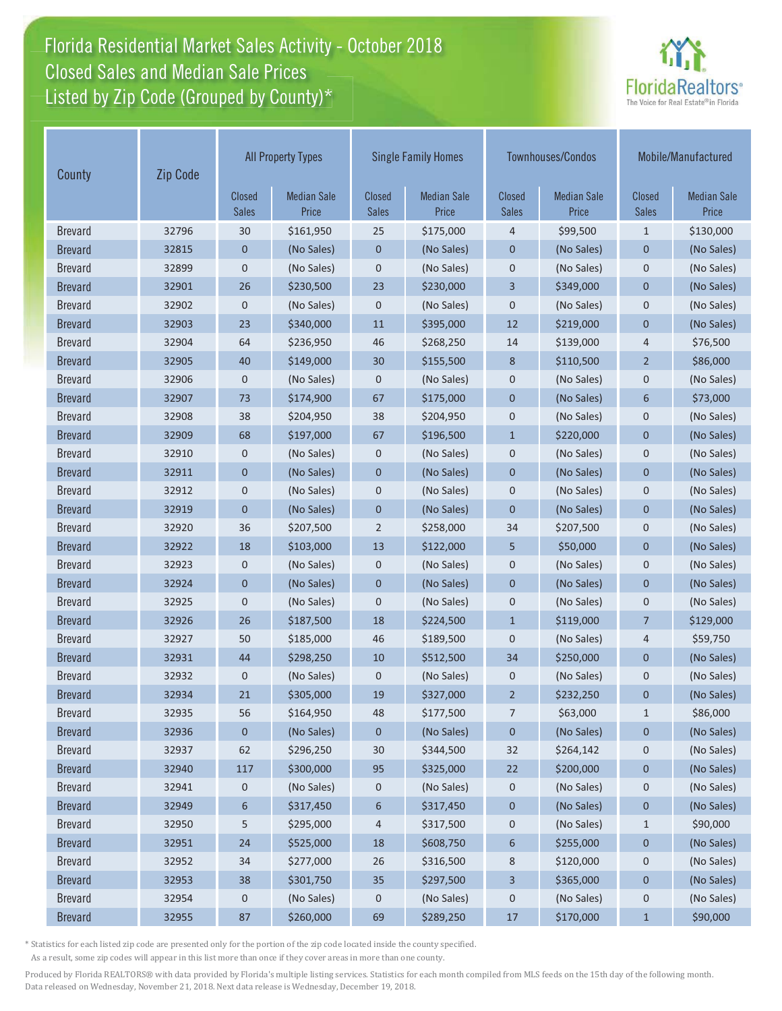# Florida Residential Market Sales Activity - October 2018 Florida Residential Market Sales Activity Closed Sales and Median Sale Prices<br>Listed by Zip Code (Grouped by County)\*



| County         | Zip Code |                        | <b>All Property Types</b>   |                               | <b>Single Family Homes</b>  |                               | Townhouses/Condos           |                               | Mobile/Manufactured         |  |
|----------------|----------|------------------------|-----------------------------|-------------------------------|-----------------------------|-------------------------------|-----------------------------|-------------------------------|-----------------------------|--|
|                |          | Closed<br><b>Sales</b> | <b>Median Sale</b><br>Price | <b>Closed</b><br><b>Sales</b> | <b>Median Sale</b><br>Price | <b>Closed</b><br><b>Sales</b> | <b>Median Sale</b><br>Price | <b>Closed</b><br><b>Sales</b> | <b>Median Sale</b><br>Price |  |
| <b>Brevard</b> | 32796    | 30                     | \$161,950                   | 25                            | \$175,000                   | 4                             | \$99,500                    | $\mathbf{1}$                  | \$130,000                   |  |
| <b>Brevard</b> | 32815    | 0                      | (No Sales)                  | 0                             | (No Sales)                  | $\mathbf 0$                   | (No Sales)                  | $\mathbf 0$                   | (No Sales)                  |  |
| <b>Brevard</b> | 32899    | $\mathbf 0$            | (No Sales)                  | 0                             | (No Sales)                  | $\mathbf 0$                   | (No Sales)                  | $\mathbf 0$                   | (No Sales)                  |  |
| <b>Brevard</b> | 32901    | 26                     | \$230,500                   | 23                            | \$230,000                   | 3                             | \$349,000                   | $\mathbf 0$                   | (No Sales)                  |  |
| <b>Brevard</b> | 32902    | $\pmb{0}$              | (No Sales)                  | 0                             | (No Sales)                  | $\mathbf 0$                   | (No Sales)                  | $\mathbf 0$                   | (No Sales)                  |  |
| <b>Brevard</b> | 32903    | 23                     | \$340,000                   | 11                            | \$395,000                   | 12                            | \$219,000                   | $\overline{0}$                | (No Sales)                  |  |
| <b>Brevard</b> | 32904    | 64                     | \$236,950                   | 46                            | \$268,250                   | 14                            | \$139,000                   | 4                             | \$76,500                    |  |
| <b>Brevard</b> | 32905    | 40                     | \$149,000                   | 30                            | \$155,500                   | 8                             | \$110,500                   | $\overline{2}$                | \$86,000                    |  |
| <b>Brevard</b> | 32906    | 0                      | (No Sales)                  | 0                             | (No Sales)                  | $\mathbf 0$                   | (No Sales)                  | $\mathsf 0$                   | (No Sales)                  |  |
| <b>Brevard</b> | 32907    | 73                     | \$174,900                   | 67                            | \$175,000                   | $\mathbf 0$                   | (No Sales)                  | 6                             | \$73,000                    |  |
| <b>Brevard</b> | 32908    | 38                     | \$204,950                   | 38                            | \$204,950                   | $\mathbf 0$                   | (No Sales)                  | $\mathbf 0$                   | (No Sales)                  |  |
| <b>Brevard</b> | 32909    | 68                     | \$197,000                   | 67                            | \$196,500                   | $\mathbf{1}$                  | \$220,000                   | $\mathbf 0$                   | (No Sales)                  |  |
| <b>Brevard</b> | 32910    | 0                      | (No Sales)                  | 0                             | (No Sales)                  | $\mathbf 0$                   | (No Sales)                  | 0                             | (No Sales)                  |  |
| <b>Brevard</b> | 32911    | $\mathbf 0$            | (No Sales)                  | $\mathbf 0$                   | (No Sales)                  | $\mathbf 0$                   | (No Sales)                  | $\mathbf 0$                   | (No Sales)                  |  |
| <b>Brevard</b> | 32912    | $\mathbf 0$            | (No Sales)                  | 0                             | (No Sales)                  | $\mathbf 0$                   | (No Sales)                  | $\mathbf 0$                   | (No Sales)                  |  |
| <b>Brevard</b> | 32919    | 0                      | (No Sales)                  | 0                             | (No Sales)                  | $\mathbf{0}$                  | (No Sales)                  | $\mathbf 0$                   | (No Sales)                  |  |
| <b>Brevard</b> | 32920    | 36                     | \$207,500                   | $\overline{2}$                | \$258,000                   | 34                            | \$207,500                   | $\mathbf 0$                   | (No Sales)                  |  |
| <b>Brevard</b> | 32922    | 18                     | \$103,000                   | 13                            | \$122,000                   | 5                             | \$50,000                    | $\mathbf 0$                   | (No Sales)                  |  |
| <b>Brevard</b> | 32923    | 0                      | (No Sales)                  | 0                             | (No Sales)                  | $\mathbf 0$                   | (No Sales)                  | $\mathbf 0$                   | (No Sales)                  |  |
| <b>Brevard</b> | 32924    | $\overline{0}$         | (No Sales)                  | $\overline{0}$                | (No Sales)                  | $\mathbf{0}$                  | (No Sales)                  | $\overline{0}$                | (No Sales)                  |  |
| <b>Brevard</b> | 32925    | 0                      | (No Sales)                  | 0                             | (No Sales)                  | $\mathbf 0$                   | (No Sales)                  | $\mathbf 0$                   | (No Sales)                  |  |
| <b>Brevard</b> | 32926    | 26                     | \$187,500                   | 18                            | \$224,500                   | $\mathbf{1}$                  | \$119,000                   | $\overline{7}$                | \$129,000                   |  |
| <b>Brevard</b> | 32927    | 50                     | \$185,000                   | 46                            | \$189,500                   | $\mathbf 0$                   | (No Sales)                  | 4                             | \$59,750                    |  |
| <b>Brevard</b> | 32931    | 44                     | \$298,250                   | 10                            | \$512,500                   | 34                            | \$250,000                   | $\mathbf 0$                   | (No Sales)                  |  |
| <b>Brevard</b> | 32932    | 0                      | (No Sales)                  | 0                             | (No Sales)                  | $\mathbf 0$                   | (No Sales)                  | $\mathbf 0$                   | (No Sales)                  |  |
| <b>Brevard</b> | 32934    | 21                     | \$305,000                   | 19                            | \$327,000                   | $\overline{2}$                | \$232,250                   | $\mathbf 0$                   | (No Sales)                  |  |
| <b>Brevard</b> | 32935    | 56                     | \$164,950                   | 48                            | \$177,500                   | 7                             | \$63,000                    | $\mathbf{1}$                  | \$86,000                    |  |
| <b>Brevard</b> | 32936    | 0                      | (No Sales)                  | 0                             | (No Sales)                  | $\pmb{0}$                     | (No Sales)                  | $\pmb{0}$                     | (No Sales)                  |  |
| <b>Brevard</b> | 32937    | 62                     | \$296,250                   | 30                            | \$344,500                   | 32                            | \$264,142                   | 0                             | (No Sales)                  |  |
| <b>Brevard</b> | 32940    | 117                    | \$300,000                   | 95                            | \$325,000                   | 22                            | \$200,000                   | $\pmb{0}$                     | (No Sales)                  |  |
| <b>Brevard</b> | 32941    | 0                      | (No Sales)                  | 0                             | (No Sales)                  | 0                             | (No Sales)                  | 0                             | (No Sales)                  |  |
| <b>Brevard</b> | 32949    | 6                      | \$317,450                   | 6                             | \$317,450                   | $\pmb{0}$                     | (No Sales)                  | $\pmb{0}$                     | (No Sales)                  |  |
| <b>Brevard</b> | 32950    | 5                      | \$295,000                   | 4                             | \$317,500                   | 0                             | (No Sales)                  | $\mathbf{1}$                  | \$90,000                    |  |
| <b>Brevard</b> | 32951    | 24                     | \$525,000                   | 18                            | \$608,750                   | $\boldsymbol{6}$              | \$255,000                   | $\pmb{0}$                     | (No Sales)                  |  |
| <b>Brevard</b> | 32952    | 34                     | \$277,000                   | 26                            | \$316,500                   | 8                             | \$120,000                   | 0                             | (No Sales)                  |  |
| <b>Brevard</b> | 32953    | 38                     | \$301,750                   | 35                            | \$297,500                   | 3                             | \$365,000                   | $\pmb{0}$                     | (No Sales)                  |  |
| <b>Brevard</b> | 32954    | 0                      | (No Sales)                  | 0                             | (No Sales)                  | $\pmb{0}$                     | (No Sales)                  | $\mathbf 0$                   | (No Sales)                  |  |
| <b>Brevard</b> | 32955    | 87                     | \$260,000                   | 69                            | \$289,250                   | $17$                          | \$170,000                   | $\mathbf{1}$                  | \$90,000                    |  |

\* Statistics for each listed zip code are presented only for the portion of the zip code located inside the county specified.

As a result, some zip codes will appear in this list more than once if they cover areas in more than one county.